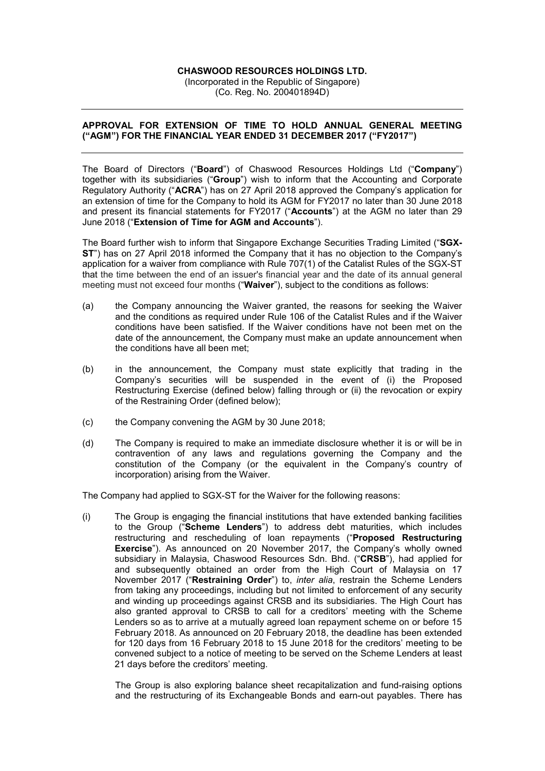## CHASWOOD RESOURCES HOLDINGS LTD.

(Incorporated in the Republic of Singapore) (Co. Reg. No. 200401894D)

## APPROVAL FOR EXTENSION OF TIME TO HOLD ANNUAL GENERAL MEETING ("AGM") FOR THE FINANCIAL YEAR ENDED 31 DECEMBER 2017 ("FY2017")

The Board of Directors ("Board") of Chaswood Resources Holdings Ltd ("Company") together with its subsidiaries ("Group") wish to inform that the Accounting and Corporate Regulatory Authority ("ACRA") has on 27 April 2018 approved the Company's application for an extension of time for the Company to hold its AGM for FY2017 no later than 30 June 2018 and present its financial statements for FY2017 ("Accounts") at the AGM no later than 29 June 2018 ("Extension of Time for AGM and Accounts").

The Board further wish to inform that Singapore Exchange Securities Trading Limited ("SGX-ST") has on 27 April 2018 informed the Company that it has no objection to the Company's application for a waiver from compliance with Rule 707(1) of the Catalist Rules of the SGX-ST that the time between the end of an issuer's financial year and the date of its annual general meeting must not exceed four months ("Waiver"), subject to the conditions as follows:

- (a) the Company announcing the Waiver granted, the reasons for seeking the Waiver and the conditions as required under Rule 106 of the Catalist Rules and if the Waiver conditions have been satisfied. If the Waiver conditions have not been met on the date of the announcement, the Company must make an update announcement when the conditions have all been met;
- (b) in the announcement, the Company must state explicitly that trading in the Company's securities will be suspended in the event of (i) the Proposed Restructuring Exercise (defined below) falling through or (ii) the revocation or expiry of the Restraining Order (defined below);
- (c) the Company convening the AGM by 30 June 2018;
- (d) The Company is required to make an immediate disclosure whether it is or will be in contravention of any laws and regulations governing the Company and the constitution of the Company (or the equivalent in the Company's country of incorporation) arising from the Waiver.

The Company had applied to SGX-ST for the Waiver for the following reasons:

(i) The Group is engaging the financial institutions that have extended banking facilities to the Group ("Scheme Lenders") to address debt maturities, which includes restructuring and rescheduling of loan repayments ("Proposed Restructuring Exercise"). As announced on 20 November 2017, the Company's wholly owned subsidiary in Malaysia, Chaswood Resources Sdn. Bhd. ("CRSB"), had applied for and subsequently obtained an order from the High Court of Malaysia on 17 November 2017 ("Restraining Order") to, *inter alia*, restrain the Scheme Lenders from taking any proceedings, including but not limited to enforcement of any security and winding up proceedings against CRSB and its subsidiaries. The High Court has also granted approval to CRSB to call for a creditors' meeting with the Scheme Lenders so as to arrive at a mutually agreed loan repayment scheme on or before 15 February 2018. As announced on 20 February 2018, the deadline has been extended for 120 days from 16 February 2018 to 15 June 2018 for the creditors' meeting to be convened subject to a notice of meeting to be served on the Scheme Lenders at least 21 days before the creditors' meeting.

The Group is also exploring balance sheet recapitalization and fund-raising options and the restructuring of its Exchangeable Bonds and earn-out payables. There has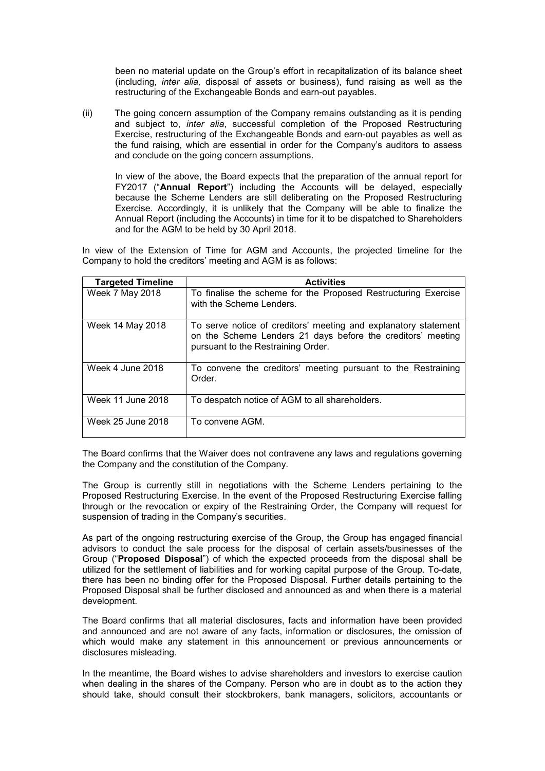been no material update on the Group's effort in recapitalization of its balance sheet (including, inter alia, disposal of assets or business), fund raising as well as the restructuring of the Exchangeable Bonds and earn-out payables.

(ii) The going concern assumption of the Company remains outstanding as it is pending and subject to, inter alia, successful completion of the Proposed Restructuring Exercise, restructuring of the Exchangeable Bonds and earn-out payables as well as the fund raising, which are essential in order for the Company's auditors to assess and conclude on the going concern assumptions.

In view of the above, the Board expects that the preparation of the annual report for FY2017 ("Annual Report") including the Accounts will be delayed, especially because the Scheme Lenders are still deliberating on the Proposed Restructuring Exercise. Accordingly, it is unlikely that the Company will be able to finalize the Annual Report (including the Accounts) in time for it to be dispatched to Shareholders and for the AGM to be held by 30 April 2018.

In view of the Extension of Time for AGM and Accounts, the projected timeline for the Company to hold the creditors' meeting and AGM is as follows:

| <b>Targeted Timeline</b> | <b>Activities</b>                                                                                                                                                    |
|--------------------------|----------------------------------------------------------------------------------------------------------------------------------------------------------------------|
| Week 7 May 2018          | To finalise the scheme for the Proposed Restructuring Exercise<br>with the Scheme Lenders.                                                                           |
| Week 14 May 2018         | To serve notice of creditors' meeting and explanatory statement<br>on the Scheme Lenders 21 days before the creditors' meeting<br>pursuant to the Restraining Order. |
| Week 4 June 2018         | To convene the creditors' meeting pursuant to the Restraining<br>Order.                                                                                              |
| Week 11 June 2018        | To despatch notice of AGM to all shareholders.                                                                                                                       |
| Week 25 June 2018        | To convene AGM.                                                                                                                                                      |

The Board confirms that the Waiver does not contravene any laws and regulations governing the Company and the constitution of the Company.

The Group is currently still in negotiations with the Scheme Lenders pertaining to the Proposed Restructuring Exercise. In the event of the Proposed Restructuring Exercise falling through or the revocation or expiry of the Restraining Order, the Company will request for suspension of trading in the Company's securities.

As part of the ongoing restructuring exercise of the Group, the Group has engaged financial advisors to conduct the sale process for the disposal of certain assets/businesses of the Group ("Proposed Disposal") of which the expected proceeds from the disposal shall be utilized for the settlement of liabilities and for working capital purpose of the Group. To-date, there has been no binding offer for the Proposed Disposal. Further details pertaining to the Proposed Disposal shall be further disclosed and announced as and when there is a material development.

The Board confirms that all material disclosures, facts and information have been provided and announced and are not aware of any facts, information or disclosures, the omission of which would make any statement in this announcement or previous announcements or disclosures misleading.

In the meantime, the Board wishes to advise shareholders and investors to exercise caution when dealing in the shares of the Company. Person who are in doubt as to the action they should take, should consult their stockbrokers, bank managers, solicitors, accountants or